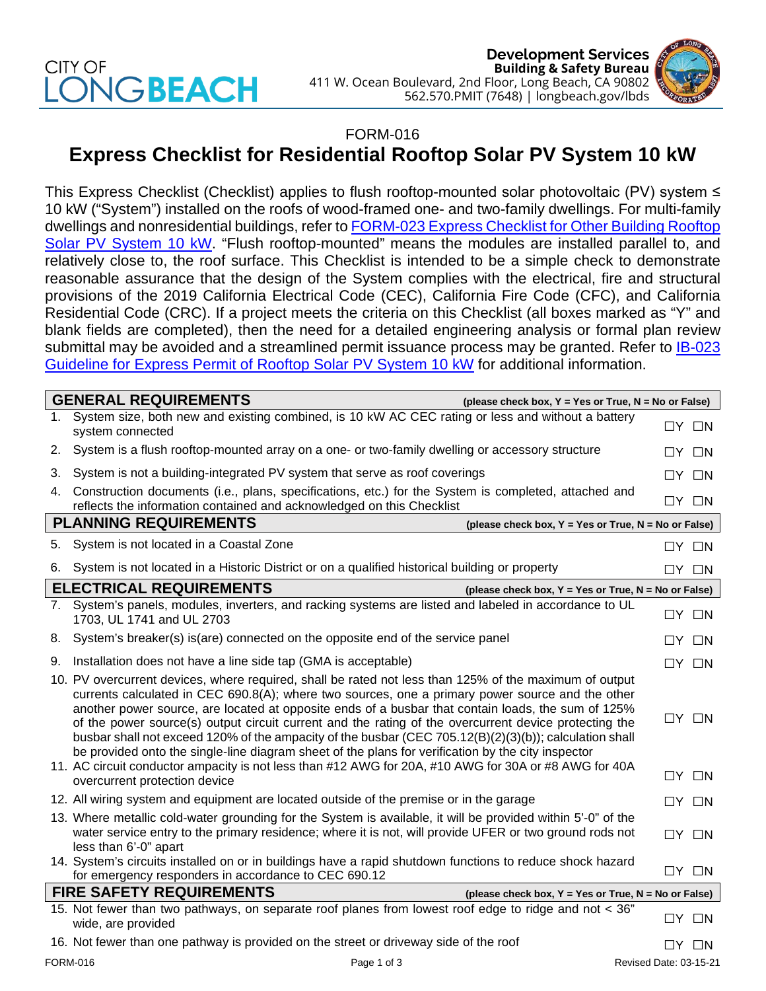## CITY OF **JGBEACH**



## FORM-016

## **Express Checklist for Residential Rooftop Solar PV System 10 kW**

This Express Checklist (Checklist) applies to flush rooftop-mounted solar photovoltaic (PV) system ≤ 10 kW ("System") installed on the roofs of wood-framed one- and two-family dwellings. For multi-family dwellings and nonresidential buildings, refer to FORM-023 [Express Checklist for Other Building](http://www.longbeach.gov/lbds/building/permit-center/solar-permit/) Rooftop [Solar PV System 10 kW.](http://www.longbeach.gov/lbds/building/permit-center/solar-permit/) "Flush rooftop-mounted" means the modules are installed parallel to, and relatively close to, the roof surface. This Checklist is intended to be a simple check to demonstrate reasonable assurance that the design of the System complies with the electrical, fire and structural provisions of the 2019 California Electrical Code (CEC), California Fire Code (CFC), and California Residential Code (CRC). If a project meets the criteria on this Checklist (all boxes marked as "Y" and blank fields are completed), then the need for a detailed engineering analysis or formal plan review submittal may be avoided and a streamlined permit issuance process may be granted. Refer to **IB-023** [Guideline for Express Permit of Rooftop Solar PV System 10](http://www.longbeach.gov/lbds/building/inspection/ib/) kW for additional information.

| <b>GENERAL REQUIREMENTS</b><br>(please check box, Y = Yes or True, N = No or False)     |                                                                                                                                                                                                                                                                                                                                                                                                                                                                                                                                                                                                                                                                                                                                                    |                   |                   |  |
|-----------------------------------------------------------------------------------------|----------------------------------------------------------------------------------------------------------------------------------------------------------------------------------------------------------------------------------------------------------------------------------------------------------------------------------------------------------------------------------------------------------------------------------------------------------------------------------------------------------------------------------------------------------------------------------------------------------------------------------------------------------------------------------------------------------------------------------------------------|-------------------|-------------------|--|
| 1.                                                                                      | System size, both new and existing combined, is 10 kW AC CEC rating or less and without a battery<br>system connected                                                                                                                                                                                                                                                                                                                                                                                                                                                                                                                                                                                                                              | $\Box Y$ $\Box N$ |                   |  |
| 2.                                                                                      | System is a flush rooftop-mounted array on a one- or two-family dwelling or accessory structure                                                                                                                                                                                                                                                                                                                                                                                                                                                                                                                                                                                                                                                    |                   | $\Box Y$ $\Box N$ |  |
| 3.                                                                                      | System is not a building-integrated PV system that serve as roof coverings                                                                                                                                                                                                                                                                                                                                                                                                                                                                                                                                                                                                                                                                         | $\Box Y$ $\Box N$ |                   |  |
| 4.                                                                                      | Construction documents (i.e., plans, specifications, etc.) for the System is completed, attached and<br>reflects the information contained and acknowledged on this Checklist                                                                                                                                                                                                                                                                                                                                                                                                                                                                                                                                                                      | $\Box Y$ $\Box N$ |                   |  |
| <b>PLANNING REQUIREMENTS</b><br>(please check box, Y = Yes or True, N = No or False)    |                                                                                                                                                                                                                                                                                                                                                                                                                                                                                                                                                                                                                                                                                                                                                    |                   |                   |  |
| 5.                                                                                      | System is not located in a Coastal Zone                                                                                                                                                                                                                                                                                                                                                                                                                                                                                                                                                                                                                                                                                                            | $\Box Y$ $\Box N$ |                   |  |
| 6.                                                                                      | System is not located in a Historic District or on a qualified historical building or property                                                                                                                                                                                                                                                                                                                                                                                                                                                                                                                                                                                                                                                     |                   | $\Box Y$ $\Box N$ |  |
|                                                                                         | <b>ELECTRICAL REQUIREMENTS</b><br>(please check box, $Y = Yes$ or True, $N = No$ or False)                                                                                                                                                                                                                                                                                                                                                                                                                                                                                                                                                                                                                                                         |                   |                   |  |
| 7.                                                                                      | System's panels, modules, inverters, and racking systems are listed and labeled in accordance to UL<br>1703, UL 1741 and UL 2703                                                                                                                                                                                                                                                                                                                                                                                                                                                                                                                                                                                                                   | $\Box Y$ $\Box N$ |                   |  |
|                                                                                         | 8. System's breaker(s) is(are) connected on the opposite end of the service panel                                                                                                                                                                                                                                                                                                                                                                                                                                                                                                                                                                                                                                                                  |                   | $\Box Y$ $\Box N$ |  |
| 9.                                                                                      | Installation does not have a line side tap (GMA is acceptable)                                                                                                                                                                                                                                                                                                                                                                                                                                                                                                                                                                                                                                                                                     | $\Box Y$ $\Box N$ |                   |  |
|                                                                                         | 10. PV overcurrent devices, where required, shall be rated not less than 125% of the maximum of output<br>currents calculated in CEC 690.8(A); where two sources, one a primary power source and the other<br>another power source, are located at opposite ends of a busbar that contain loads, the sum of 125%<br>of the power source(s) output circuit current and the rating of the overcurrent device protecting the<br>busbar shall not exceed 120% of the ampacity of the busbar (CEC 705.12(B)(2)(3)(b)); calculation shall<br>be provided onto the single-line diagram sheet of the plans for verification by the city inspector<br>11. AC circuit conductor ampacity is not less than #12 AWG for 20A, #10 AWG for 30A or #8 AWG for 40A | $\Box Y$ $\Box N$ |                   |  |
|                                                                                         | overcurrent protection device                                                                                                                                                                                                                                                                                                                                                                                                                                                                                                                                                                                                                                                                                                                      | $\Box Y$ $\Box N$ |                   |  |
|                                                                                         | 12. All wiring system and equipment are located outside of the premise or in the garage                                                                                                                                                                                                                                                                                                                                                                                                                                                                                                                                                                                                                                                            | $\Box Y$ $\Box N$ |                   |  |
|                                                                                         | 13. Where metallic cold-water grounding for the System is available, it will be provided within 5'-0" of the<br>water service entry to the primary residence; where it is not, will provide UFER or two ground rods not<br>less than 6'-0" apart                                                                                                                                                                                                                                                                                                                                                                                                                                                                                                   | $\Box Y$ $\Box N$ |                   |  |
|                                                                                         | 14. System's circuits installed on or in buildings have a rapid shutdown functions to reduce shock hazard<br>for emergency responders in accordance to CEC 690.12                                                                                                                                                                                                                                                                                                                                                                                                                                                                                                                                                                                  | $\Box Y$ $\Box N$ |                   |  |
| <b>FIRE SAFETY REQUIREMENTS</b><br>(please check box, Y = Yes or True, N = No or False) |                                                                                                                                                                                                                                                                                                                                                                                                                                                                                                                                                                                                                                                                                                                                                    |                   |                   |  |
|                                                                                         | 15. Not fewer than two pathways, on separate roof planes from lowest roof edge to ridge and not < 36"<br>wide, are provided                                                                                                                                                                                                                                                                                                                                                                                                                                                                                                                                                                                                                        |                   | $\Box Y$ $\Box N$ |  |
|                                                                                         | 16. Not fewer than one pathway is provided on the street or driveway side of the roof                                                                                                                                                                                                                                                                                                                                                                                                                                                                                                                                                                                                                                                              | $\Box Y$ $\Box N$ |                   |  |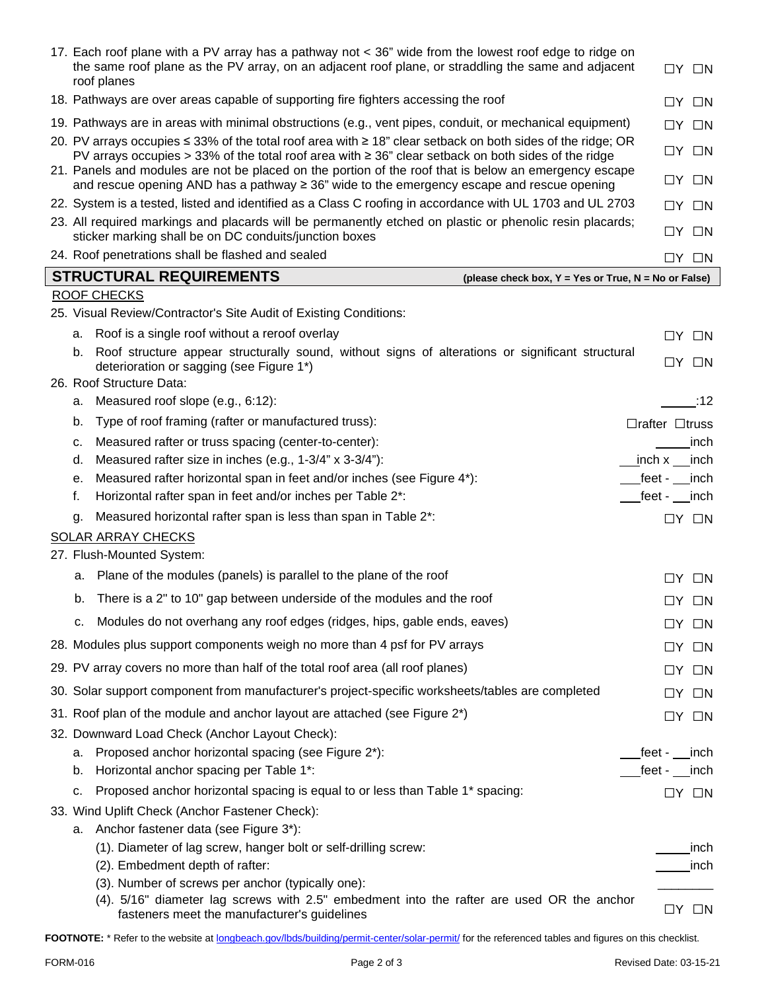| 17. Each roof plane with a PV array has a pathway not < 36" wide from the lowest roof edge to ridge on<br>the same roof plane as the PV array, on an adjacent roof plane, or straddling the same and adjacent<br>roof planes | $\Box Y$ $\Box N$                   |
|------------------------------------------------------------------------------------------------------------------------------------------------------------------------------------------------------------------------------|-------------------------------------|
| 18. Pathways are over areas capable of supporting fire fighters accessing the roof                                                                                                                                           | $\Box Y$ $\Box N$                   |
| 19. Pathways are in areas with minimal obstructions (e.g., vent pipes, conduit, or mechanical equipment)                                                                                                                     | $\Box Y$ $\Box N$                   |
| 20. PV arrays occupies ≤ 33% of the total roof area with ≥ 18" clear setback on both sides of the ridge; OR<br>PV arrays occupies > 33% of the total roof area with $\geq$ 36" clear setback on both sides of the ridge      | $\Box Y$ $\Box N$                   |
| 21. Panels and modules are not be placed on the portion of the roof that is below an emergency escape<br>and rescue opening AND has a pathway ≥ 36" wide to the emergency escape and rescue opening                          | $\Box Y$ $\Box N$                   |
| 22. System is a tested, listed and identified as a Class C roofing in accordance with UL 1703 and UL 2703                                                                                                                    | $\Box Y$ $\Box N$                   |
| 23. All required markings and placards will be permanently etched on plastic or phenolic resin placards;<br>sticker marking shall be on DC conduits/junction boxes                                                           | $\Box Y$ $\Box N$                   |
| 24. Roof penetrations shall be flashed and sealed                                                                                                                                                                            | $\Box$ y $\Box$ n                   |
| <b>STRUCTURAL REQUIREMENTS</b><br>(please check box, Y = Yes or True, N = No or False)                                                                                                                                       |                                     |
| <b>ROOF CHECKS</b>                                                                                                                                                                                                           |                                     |
| 25. Visual Review/Contractor's Site Audit of Existing Conditions:                                                                                                                                                            |                                     |
| Roof is a single roof without a reroof overlay<br>а.                                                                                                                                                                         | $\Box Y$ $\Box N$                   |
| Roof structure appear structurally sound, without signs of alterations or significant structural<br>b.<br>deterioration or sagging (see Figure 1*)<br>26. Roof Structure Data:                                               | $\Box Y$ $\Box N$                   |
| Measured roof slope (e.g., 6:12):<br>а.                                                                                                                                                                                      | :12                                 |
| Type of roof framing (rafter or manufactured truss):<br>b.                                                                                                                                                                   | $\Box$ rafter $\Box$ truss          |
| Measured rafter or truss spacing (center-to-center):<br>c.                                                                                                                                                                   | inch                                |
| Measured rafter size in inches (e.g., 1-3/4" x 3-3/4"):<br>d.                                                                                                                                                                | inch x<br>inch                      |
| Measured rafter horizontal span in feet and/or inches (see Figure 4*):<br>е.                                                                                                                                                 | $feet -$<br>inch                    |
| Horizontal rafter span in feet and/or inches per Table 2*:<br>f.                                                                                                                                                             | feet - inch                         |
| Measured horizontal rafter span is less than span in Table 2*:<br>q.                                                                                                                                                         | $\Box Y$ $\Box N$                   |
| SOLAR ARRAY CHECKS                                                                                                                                                                                                           |                                     |
| 27. Flush-Mounted System:                                                                                                                                                                                                    |                                     |
| a. Plane of the modules (panels) is parallel to the plane of the roof                                                                                                                                                        | $\Box Y$ $\Box N$                   |
| There is a 2" to 10" gap between underside of the modules and the roof<br>b.                                                                                                                                                 | $\Box$ y $\Box$ n                   |
| Modules do not overhang any roof edges (ridges, hips, gable ends, eaves)<br>с.                                                                                                                                               | $\Box Y$ $\Box N$                   |
| 28. Modules plus support components weigh no more than 4 psf for PV arrays                                                                                                                                                   | $\Box Y$ $\Box N$                   |
| 29. PV array covers no more than half of the total roof area (all roof planes)                                                                                                                                               |                                     |
|                                                                                                                                                                                                                              | $\Box N$<br>LIY.                    |
| 30. Solar support component from manufacturer's project-specific worksheets/tables are completed                                                                                                                             | $\Box N$<br>LIY.                    |
| 31. Roof plan of the module and anchor layout are attached (see Figure 2*)                                                                                                                                                   | $\Box Y$ $\Box N$                   |
| 32. Downward Load Check (Anchor Layout Check):                                                                                                                                                                               |                                     |
| Proposed anchor horizontal spacing (see Figure 2*):<br>а.<br>Horizontal anchor spacing per Table 1*:<br>b.                                                                                                                   | _feet -<br>inch<br>$feet - \n$ inch |
| Proposed anchor horizontal spacing is equal to or less than Table 1 <sup>*</sup> spacing:<br>c.                                                                                                                              |                                     |
| 33. Wind Uplift Check (Anchor Fastener Check):                                                                                                                                                                               | $\Box Y$ $\Box N$                   |
| a. Anchor fastener data (see Figure 3*):                                                                                                                                                                                     |                                     |
| (1). Diameter of lag screw, hanger bolt or self-drilling screw:                                                                                                                                                              | inch                                |
| (2). Embedment depth of rafter:                                                                                                                                                                                              | inch                                |
| (3). Number of screws per anchor (typically one):                                                                                                                                                                            |                                     |
| (4). 5/16" diameter lag screws with 2.5" embedment into the rafter are used OR the anchor<br>fasteners meet the manufacturer's guidelines                                                                                    | $\Box Y$ $\Box N$                   |

FOOTNOTE: \* Refer to the website at [longbeach.gov/lbds/building/permit-center/solar-permit/](http://longbeach.gov/lbds/building/permit-center/solar-permit/) for the referenced tables and figures on this checklist.